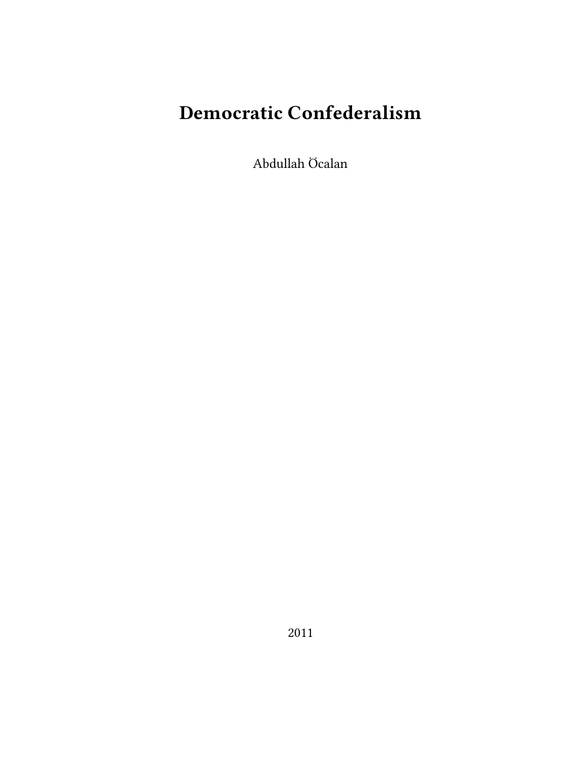# **Democratic Confederalism**

Abdullah Öcalan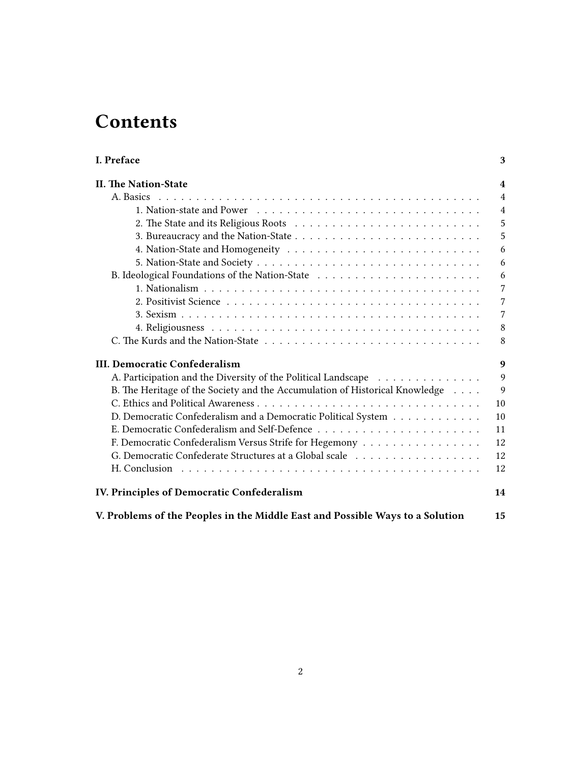# **Contents**

| I. Preface                                                                    | 3              |
|-------------------------------------------------------------------------------|----------------|
| II. The Nation-State                                                          | 4              |
| A. Basics                                                                     | $\overline{4}$ |
|                                                                               | $\overline{4}$ |
|                                                                               | 5              |
|                                                                               | 5              |
|                                                                               | 6              |
|                                                                               | 6              |
|                                                                               | 6              |
|                                                                               | 7              |
|                                                                               | 7              |
|                                                                               | 7              |
|                                                                               | 8              |
|                                                                               | 8              |
| III. Democratic Confederalism                                                 | 9              |
| A. Participation and the Diversity of the Political Landscape                 | 9              |
| B. The Heritage of the Society and the Accumulation of Historical Knowledge   | 9              |
|                                                                               | 10             |
| D. Democratic Confederalism and a Democratic Political System                 | 10             |
|                                                                               | 11             |
| F. Democratic Confederalism Versus Strife for Hegemony                        | 12             |
| G. Democratic Confederate Structures at a Global scale                        | 12             |
|                                                                               | 12             |
| IV. Principles of Democratic Confederalism                                    | 14             |
| V. Problems of the Peoples in the Middle East and Possible Ways to a Solution | 15             |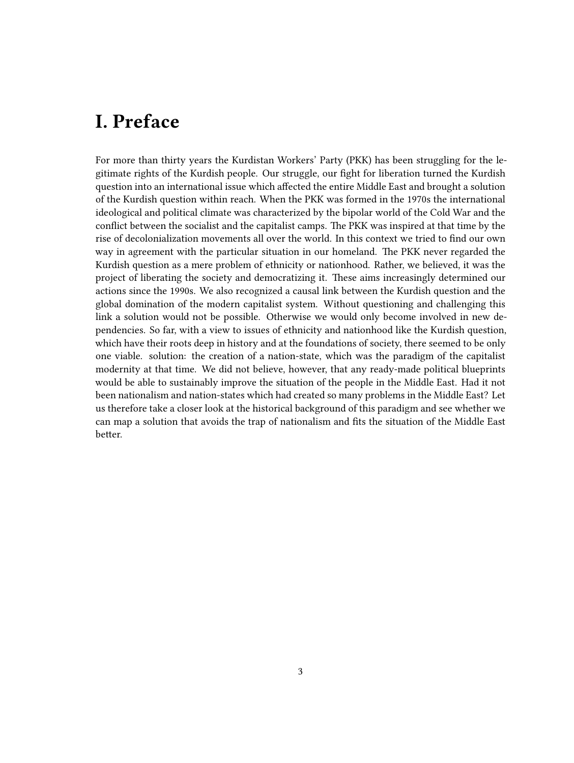## <span id="page-2-0"></span>**I. Preface**

For more than thirty years the Kurdistan Workers' Party (PKK) has been struggling for the legitimate rights of the Kurdish people. Our struggle, our fight for liberation turned the Kurdish question into an international issue which affected the entire Middle East and brought a solution of the Kurdish question within reach. When the PKK was formed in the 1970s the international ideological and political climate was characterized by the bipolar world of the Cold War and the conflict between the socialist and the capitalist camps. The PKK was inspired at that time by the rise of decolonialization movements all over the world. In this context we tried to find our own way in agreement with the particular situation in our homeland. The PKK never regarded the Kurdish question as a mere problem of ethnicity or nationhood. Rather, we believed, it was the project of liberating the society and democratizing it. These aims increasingly determined our actions since the 1990s. We also recognized a causal link between the Kurdish question and the global domination of the modern capitalist system. Without questioning and challenging this link a solution would not be possible. Otherwise we would only become involved in new dependencies. So far, with a view to issues of ethnicity and nationhood like the Kurdish question, which have their roots deep in history and at the foundations of society, there seemed to be only one viable. solution: the creation of a nation-state, which was the paradigm of the capitalist modernity at that time. We did not believe, however, that any ready-made political blueprints would be able to sustainably improve the situation of the people in the Middle East. Had it not been nationalism and nation-states which had created so many problems in the Middle East? Let us therefore take a closer look at the historical background of this paradigm and see whether we can map a solution that avoids the trap of nationalism and fits the situation of the Middle East better.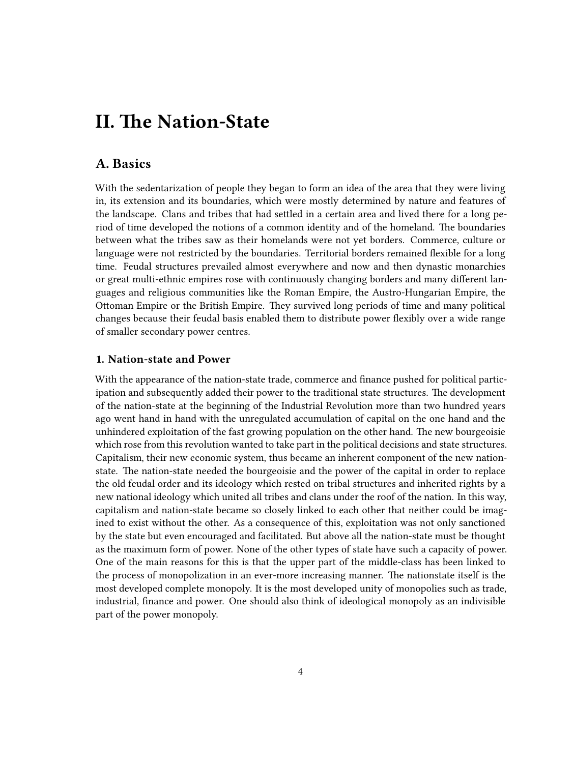## <span id="page-3-0"></span>**II. The Nation-State**

## <span id="page-3-1"></span>**A. Basics**

With the sedentarization of people they began to form an idea of the area that they were living in, its extension and its boundaries, which were mostly determined by nature and features of the landscape. Clans and tribes that had settled in a certain area and lived there for a long period of time developed the notions of a common identity and of the homeland. The boundaries between what the tribes saw as their homelands were not yet borders. Commerce, culture or language were not restricted by the boundaries. Territorial borders remained flexible for a long time. Feudal structures prevailed almost everywhere and now and then dynastic monarchies or great multi-ethnic empires rose with continuously changing borders and many different languages and religious communities like the Roman Empire, the Austro-Hungarian Empire, the Ottoman Empire or the British Empire. They survived long periods of time and many political changes because their feudal basis enabled them to distribute power flexibly over a wide range of smaller secondary power centres.

#### <span id="page-3-2"></span>**1. Nation-state and Power**

With the appearance of the nation-state trade, commerce and finance pushed for political participation and subsequently added their power to the traditional state structures. The development of the nation-state at the beginning of the Industrial Revolution more than two hundred years ago went hand in hand with the unregulated accumulation of capital on the one hand and the unhindered exploitation of the fast growing population on the other hand. The new bourgeoisie which rose from this revolution wanted to take part in the political decisions and state structures. Capitalism, their new economic system, thus became an inherent component of the new nationstate. The nation-state needed the bourgeoisie and the power of the capital in order to replace the old feudal order and its ideology which rested on tribal structures and inherited rights by a new national ideology which united all tribes and clans under the roof of the nation. In this way, capitalism and nation-state became so closely linked to each other that neither could be imagined to exist without the other. As a consequence of this, exploitation was not only sanctioned by the state but even encouraged and facilitated. But above all the nation-state must be thought as the maximum form of power. None of the other types of state have such a capacity of power. One of the main reasons for this is that the upper part of the middle-class has been linked to the process of monopolization in an ever-more increasing manner. The nationstate itself is the most developed complete monopoly. It is the most developed unity of monopolies such as trade, industrial, finance and power. One should also think of ideological monopoly as an indivisible part of the power monopoly.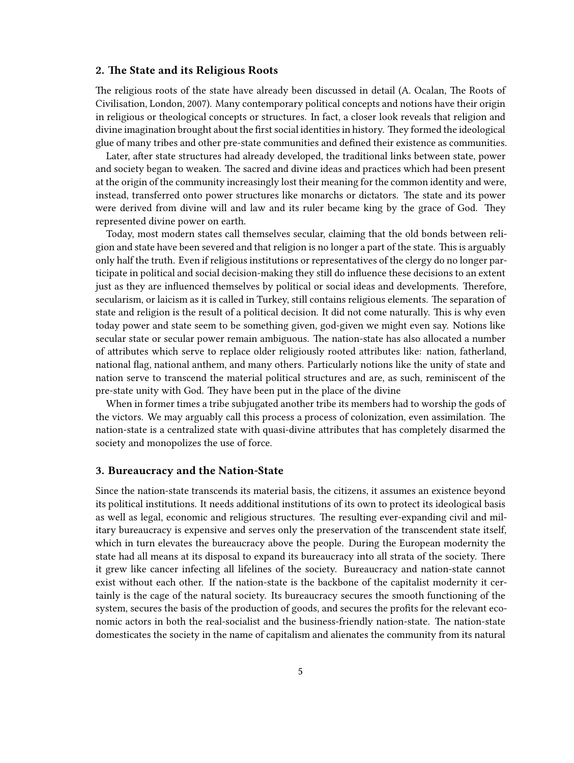#### <span id="page-4-0"></span>**2. The State and its Religious Roots**

The religious roots of the state have already been discussed in detail (A. Ocalan, The Roots of Civilisation, London, 2007). Many contemporary political concepts and notions have their origin in religious or theological concepts or structures. In fact, a closer look reveals that religion and divine imagination brought about the first social identities in history. They formed the ideological glue of many tribes and other pre-state communities and defined their existence as communities.

Later, after state structures had already developed, the traditional links between state, power and society began to weaken. The sacred and divine ideas and practices which had been present at the origin of the community increasingly lost their meaning for the common identity and were, instead, transferred onto power structures like monarchs or dictators. The state and its power were derived from divine will and law and its ruler became king by the grace of God. They represented divine power on earth.

Today, most modern states call themselves secular, claiming that the old bonds between religion and state have been severed and that religion is no longer a part of the state. This is arguably only half the truth. Even if religious institutions or representatives of the clergy do no longer participate in political and social decision-making they still do influence these decisions to an extent just as they are influenced themselves by political or social ideas and developments. Therefore, secularism, or laicism as it is called in Turkey, still contains religious elements. The separation of state and religion is the result of a political decision. It did not come naturally. This is why even today power and state seem to be something given, god-given we might even say. Notions like secular state or secular power remain ambiguous. The nation-state has also allocated a number of attributes which serve to replace older religiously rooted attributes like: nation, fatherland, national flag, national anthem, and many others. Particularly notions like the unity of state and nation serve to transcend the material political structures and are, as such, reminiscent of the pre-state unity with God. They have been put in the place of the divine

When in former times a tribe subjugated another tribe its members had to worship the gods of the victors. We may arguably call this process a process of colonization, even assimilation. The nation-state is a centralized state with quasi-divine attributes that has completely disarmed the society and monopolizes the use of force.

#### <span id="page-4-1"></span>**3. Bureaucracy and the Nation-State**

Since the nation-state transcends its material basis, the citizens, it assumes an existence beyond its political institutions. It needs additional institutions of its own to protect its ideological basis as well as legal, economic and religious structures. The resulting ever-expanding civil and military bureaucracy is expensive and serves only the preservation of the transcendent state itself, which in turn elevates the bureaucracy above the people. During the European modernity the state had all means at its disposal to expand its bureaucracy into all strata of the society. There it grew like cancer infecting all lifelines of the society. Bureaucracy and nation-state cannot exist without each other. If the nation-state is the backbone of the capitalist modernity it certainly is the cage of the natural society. Its bureaucracy secures the smooth functioning of the system, secures the basis of the production of goods, and secures the profits for the relevant economic actors in both the real-socialist and the business-friendly nation-state. The nation-state domesticates the society in the name of capitalism and alienates the community from its natural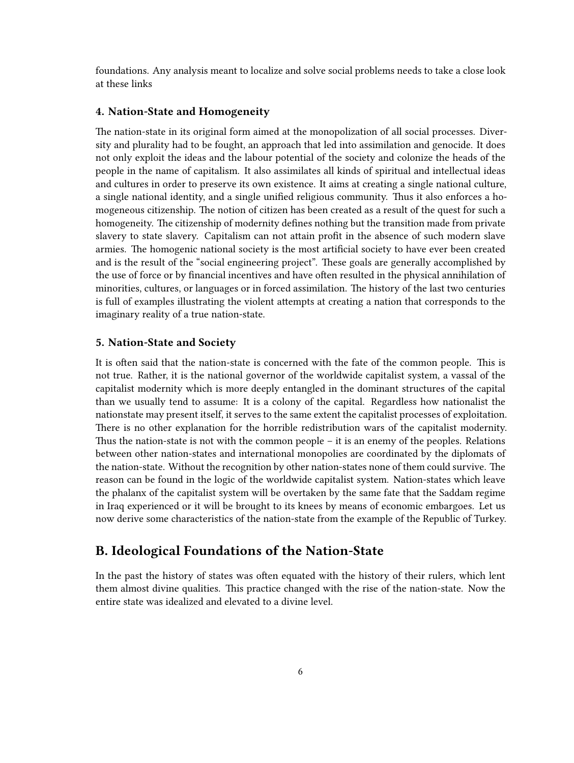foundations. Any analysis meant to localize and solve social problems needs to take a close look at these links

#### <span id="page-5-0"></span>**4. Nation-State and Homogeneity**

The nation-state in its original form aimed at the monopolization of all social processes. Diversity and plurality had to be fought, an approach that led into assimilation and genocide. It does not only exploit the ideas and the labour potential of the society and colonize the heads of the people in the name of capitalism. It also assimilates all kinds of spiritual and intellectual ideas and cultures in order to preserve its own existence. It aims at creating a single national culture, a single national identity, and a single unified religious community. Thus it also enforces a homogeneous citizenship. The notion of citizen has been created as a result of the quest for such a homogeneity. The citizenship of modernity defines nothing but the transition made from private slavery to state slavery. Capitalism can not attain profit in the absence of such modern slave armies. The homogenic national society is the most artificial society to have ever been created and is the result of the "social engineering project". These goals are generally accomplished by the use of force or by financial incentives and have often resulted in the physical annihilation of minorities, cultures, or languages or in forced assimilation. The history of the last two centuries is full of examples illustrating the violent attempts at creating a nation that corresponds to the imaginary reality of a true nation-state.

#### <span id="page-5-1"></span>**5. Nation-State and Society**

It is often said that the nation-state is concerned with the fate of the common people. This is not true. Rather, it is the national governor of the worldwide capitalist system, a vassal of the capitalist modernity which is more deeply entangled in the dominant structures of the capital than we usually tend to assume: It is a colony of the capital. Regardless how nationalist the nationstate may present itself, it serves to the same extent the capitalist processes of exploitation. There is no other explanation for the horrible redistribution wars of the capitalist modernity. Thus the nation-state is not with the common people  $-$  it is an enemy of the peoples. Relations between other nation-states and international monopolies are coordinated by the diplomats of the nation-state. Without the recognition by other nation-states none of them could survive. The reason can be found in the logic of the worldwide capitalist system. Nation-states which leave the phalanx of the capitalist system will be overtaken by the same fate that the Saddam regime in Iraq experienced or it will be brought to its knees by means of economic embargoes. Let us now derive some characteristics of the nation-state from the example of the Republic of Turkey.

### <span id="page-5-2"></span>**B. Ideological Foundations of the Nation-State**

In the past the history of states was often equated with the history of their rulers, which lent them almost divine qualities. This practice changed with the rise of the nation-state. Now the entire state was idealized and elevated to a divine level.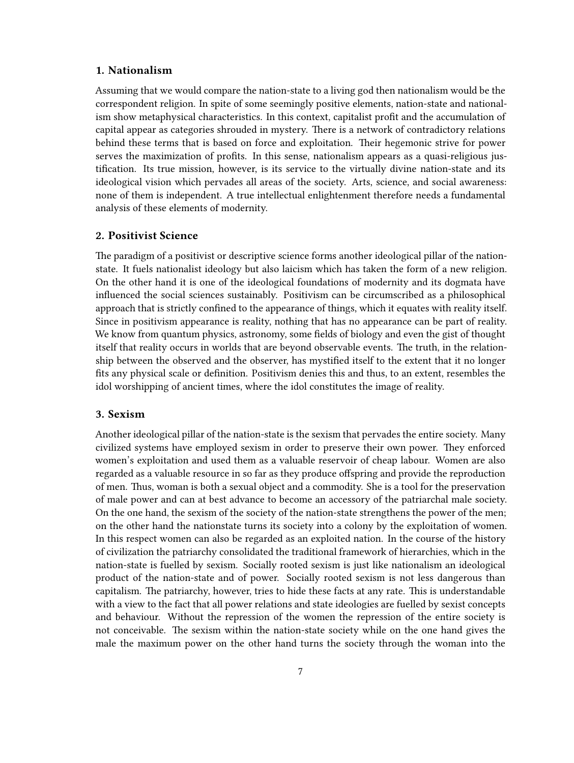#### <span id="page-6-0"></span>**1. Nationalism**

Assuming that we would compare the nation-state to a living god then nationalism would be the correspondent religion. In spite of some seemingly positive elements, nation-state and nationalism show metaphysical characteristics. In this context, capitalist profit and the accumulation of capital appear as categories shrouded in mystery. There is a network of contradictory relations behind these terms that is based on force and exploitation. Their hegemonic strive for power serves the maximization of profits. In this sense, nationalism appears as a quasi-religious justification. Its true mission, however, is its service to the virtually divine nation-state and its ideological vision which pervades all areas of the society. Arts, science, and social awareness: none of them is independent. A true intellectual enlightenment therefore needs a fundamental analysis of these elements of modernity.

#### <span id="page-6-1"></span>**2. Positivist Science**

The paradigm of a positivist or descriptive science forms another ideological pillar of the nationstate. It fuels nationalist ideology but also laicism which has taken the form of a new religion. On the other hand it is one of the ideological foundations of modernity and its dogmata have influenced the social sciences sustainably. Positivism can be circumscribed as a philosophical approach that is strictly confined to the appearance of things, which it equates with reality itself. Since in positivism appearance is reality, nothing that has no appearance can be part of reality. We know from quantum physics, astronomy, some fields of biology and even the gist of thought itself that reality occurs in worlds that are beyond observable events. The truth, in the relationship between the observed and the observer, has mystified itself to the extent that it no longer fits any physical scale or definition. Positivism denies this and thus, to an extent, resembles the idol worshipping of ancient times, where the idol constitutes the image of reality.

#### <span id="page-6-2"></span>**3. Sexism**

Another ideological pillar of the nation-state is the sexism that pervades the entire society. Many civilized systems have employed sexism in order to preserve their own power. They enforced women's exploitation and used them as a valuable reservoir of cheap labour. Women are also regarded as a valuable resource in so far as they produce offspring and provide the reproduction of men. Thus, woman is both a sexual object and a commodity. She is a tool for the preservation of male power and can at best advance to become an accessory of the patriarchal male society. On the one hand, the sexism of the society of the nation-state strengthens the power of the men; on the other hand the nationstate turns its society into a colony by the exploitation of women. In this respect women can also be regarded as an exploited nation. In the course of the history of civilization the patriarchy consolidated the traditional framework of hierarchies, which in the nation-state is fuelled by sexism. Socially rooted sexism is just like nationalism an ideological product of the nation-state and of power. Socially rooted sexism is not less dangerous than capitalism. The patriarchy, however, tries to hide these facts at any rate. This is understandable with a view to the fact that all power relations and state ideologies are fuelled by sexist concepts and behaviour. Without the repression of the women the repression of the entire society is not conceivable. The sexism within the nation-state society while on the one hand gives the male the maximum power on the other hand turns the society through the woman into the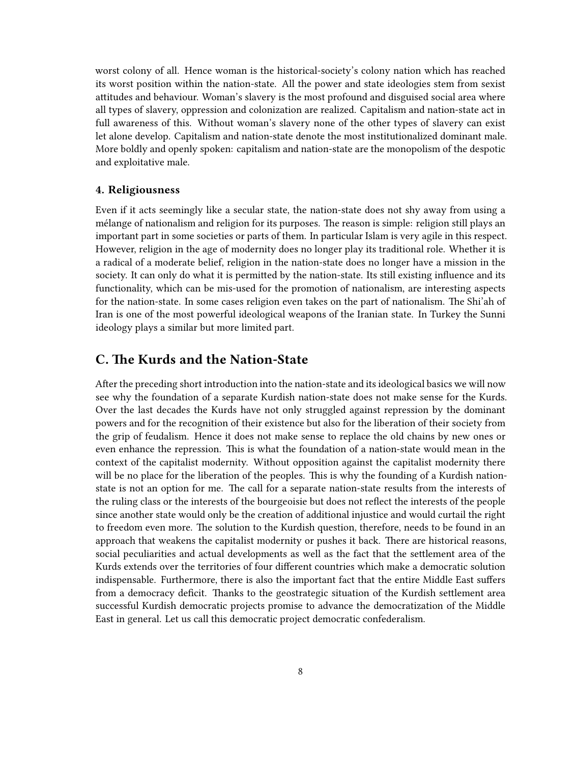worst colony of all. Hence woman is the historical-society's colony nation which has reached its worst position within the nation-state. All the power and state ideologies stem from sexist attitudes and behaviour. Woman's slavery is the most profound and disguised social area where all types of slavery, oppression and colonization are realized. Capitalism and nation-state act in full awareness of this. Without woman's slavery none of the other types of slavery can exist let alone develop. Capitalism and nation-state denote the most institutionalized dominant male. More boldly and openly spoken: capitalism and nation-state are the monopolism of the despotic and exploitative male.

#### <span id="page-7-0"></span>**4. Religiousness**

Even if it acts seemingly like a secular state, the nation-state does not shy away from using a mélange of nationalism and religion for its purposes. The reason is simple: religion still plays an important part in some societies or parts of them. In particular Islam is very agile in this respect. However, religion in the age of modernity does no longer play its traditional role. Whether it is a radical of a moderate belief, religion in the nation-state does no longer have a mission in the society. It can only do what it is permitted by the nation-state. Its still existing influence and its functionality, which can be mis-used for the promotion of nationalism, are interesting aspects for the nation-state. In some cases religion even takes on the part of nationalism. The Shi'ah of Iran is one of the most powerful ideological weapons of the Iranian state. In Turkey the Sunni ideology plays a similar but more limited part.

## <span id="page-7-1"></span>**C. The Kurds and the Nation-State**

After the preceding short introduction into the nation-state and its ideological basics we will now see why the foundation of a separate Kurdish nation-state does not make sense for the Kurds. Over the last decades the Kurds have not only struggled against repression by the dominant powers and for the recognition of their existence but also for the liberation of their society from the grip of feudalism. Hence it does not make sense to replace the old chains by new ones or even enhance the repression. This is what the foundation of a nation-state would mean in the context of the capitalist modernity. Without opposition against the capitalist modernity there will be no place for the liberation of the peoples. This is why the founding of a Kurdish nationstate is not an option for me. The call for a separate nation-state results from the interests of the ruling class or the interests of the bourgeoisie but does not reflect the interests of the people since another state would only be the creation of additional injustice and would curtail the right to freedom even more. The solution to the Kurdish question, therefore, needs to be found in an approach that weakens the capitalist modernity or pushes it back. There are historical reasons, social peculiarities and actual developments as well as the fact that the settlement area of the Kurds extends over the territories of four different countries which make a democratic solution indispensable. Furthermore, there is also the important fact that the entire Middle East suffers from a democracy deficit. Thanks to the geostrategic situation of the Kurdish settlement area successful Kurdish democratic projects promise to advance the democratization of the Middle East in general. Let us call this democratic project democratic confederalism.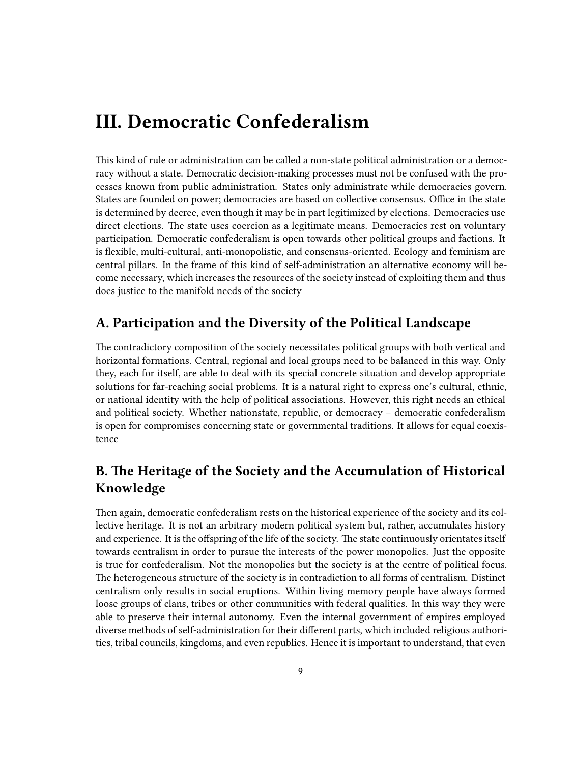## <span id="page-8-0"></span>**III. Democratic Confederalism**

This kind of rule or administration can be called a non-state political administration or a democracy without a state. Democratic decision-making processes must not be confused with the processes known from public administration. States only administrate while democracies govern. States are founded on power; democracies are based on collective consensus. Office in the state is determined by decree, even though it may be in part legitimized by elections. Democracies use direct elections. The state uses coercion as a legitimate means. Democracies rest on voluntary participation. Democratic confederalism is open towards other political groups and factions. It is flexible, multi-cultural, anti-monopolistic, and consensus-oriented. Ecology and feminism are central pillars. In the frame of this kind of self-administration an alternative economy will become necessary, which increases the resources of the society instead of exploiting them and thus does justice to the manifold needs of the society

## <span id="page-8-1"></span>**A. Participation and the Diversity of the Political Landscape**

The contradictory composition of the society necessitates political groups with both vertical and horizontal formations. Central, regional and local groups need to be balanced in this way. Only they, each for itself, are able to deal with its special concrete situation and develop appropriate solutions for far-reaching social problems. It is a natural right to express one's cultural, ethnic, or national identity with the help of political associations. However, this right needs an ethical and political society. Whether nationstate, republic, or democracy – democratic confederalism is open for compromises concerning state or governmental traditions. It allows for equal coexistence

## <span id="page-8-2"></span>**B. The Heritage of the Society and the Accumulation of Historical Knowledge**

Then again, democratic confederalism rests on the historical experience of the society and its collective heritage. It is not an arbitrary modern political system but, rather, accumulates history and experience. It is the offspring of the life of the society. The state continuously orientates itself towards centralism in order to pursue the interests of the power monopolies. Just the opposite is true for confederalism. Not the monopolies but the society is at the centre of political focus. The heterogeneous structure of the society is in contradiction to all forms of centralism. Distinct centralism only results in social eruptions. Within living memory people have always formed loose groups of clans, tribes or other communities with federal qualities. In this way they were able to preserve their internal autonomy. Even the internal government of empires employed diverse methods of self-administration for their different parts, which included religious authorities, tribal councils, kingdoms, and even republics. Hence it is important to understand, that even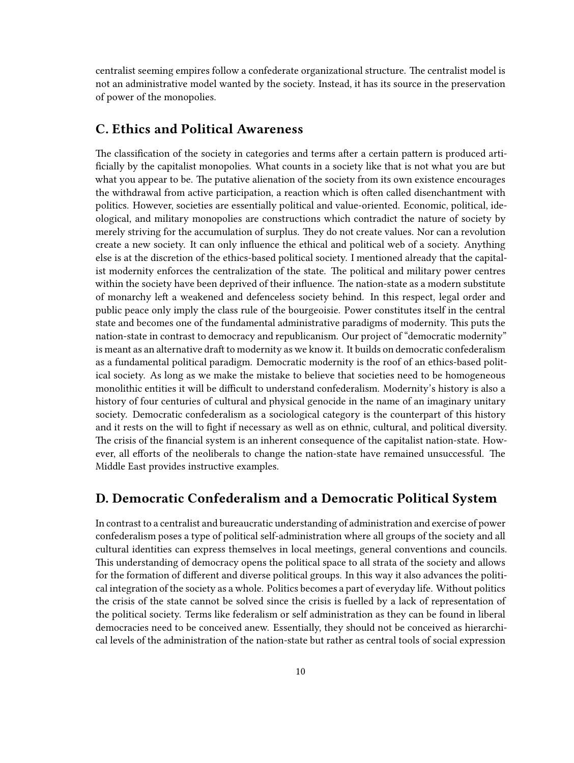centralist seeming empires follow a confederate organizational structure. The centralist model is not an administrative model wanted by the society. Instead, it has its source in the preservation of power of the monopolies.

## <span id="page-9-0"></span>**C. Ethics and Political Awareness**

The classification of the society in categories and terms after a certain pattern is produced artificially by the capitalist monopolies. What counts in a society like that is not what you are but what you appear to be. The putative alienation of the society from its own existence encourages the withdrawal from active participation, a reaction which is often called disenchantment with politics. However, societies are essentially political and value-oriented. Economic, political, ideological, and military monopolies are constructions which contradict the nature of society by merely striving for the accumulation of surplus. They do not create values. Nor can a revolution create a new society. It can only influence the ethical and political web of a society. Anything else is at the discretion of the ethics-based political society. I mentioned already that the capitalist modernity enforces the centralization of the state. The political and military power centres within the society have been deprived of their influence. The nation-state as a modern substitute of monarchy left a weakened and defenceless society behind. In this respect, legal order and public peace only imply the class rule of the bourgeoisie. Power constitutes itself in the central state and becomes one of the fundamental administrative paradigms of modernity. This puts the nation-state in contrast to democracy and republicanism. Our project of "democratic modernity" is meant as an alternative draft to modernity as we know it. It builds on democratic confederalism as a fundamental political paradigm. Democratic modernity is the roof of an ethics-based political society. As long as we make the mistake to believe that societies need to be homogeneous monolithic entities it will be difficult to understand confederalism. Modernity's history is also a history of four centuries of cultural and physical genocide in the name of an imaginary unitary society. Democratic confederalism as a sociological category is the counterpart of this history and it rests on the will to fight if necessary as well as on ethnic, cultural, and political diversity. The crisis of the financial system is an inherent consequence of the capitalist nation-state. However, all efforts of the neoliberals to change the nation-state have remained unsuccessful. The Middle East provides instructive examples.

## <span id="page-9-1"></span>**D. Democratic Confederalism and a Democratic Political System**

In contrast to a centralist and bureaucratic understanding of administration and exercise of power confederalism poses a type of political self-administration where all groups of the society and all cultural identities can express themselves in local meetings, general conventions and councils. This understanding of democracy opens the political space to all strata of the society and allows for the formation of different and diverse political groups. In this way it also advances the political integration of the society as a whole. Politics becomes a part of everyday life. Without politics the crisis of the state cannot be solved since the crisis is fuelled by a lack of representation of the political society. Terms like federalism or self administration as they can be found in liberal democracies need to be conceived anew. Essentially, they should not be conceived as hierarchical levels of the administration of the nation-state but rather as central tools of social expression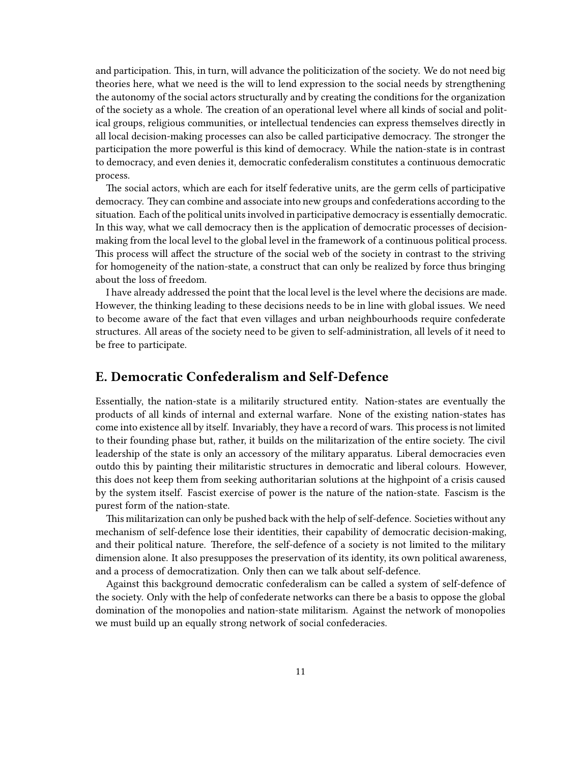and participation. This, in turn, will advance the politicization of the society. We do not need big theories here, what we need is the will to lend expression to the social needs by strengthening the autonomy of the social actors structurally and by creating the conditions for the organization of the society as a whole. The creation of an operational level where all kinds of social and political groups, religious communities, or intellectual tendencies can express themselves directly in all local decision-making processes can also be called participative democracy. The stronger the participation the more powerful is this kind of democracy. While the nation-state is in contrast to democracy, and even denies it, democratic confederalism constitutes a continuous democratic process.

The social actors, which are each for itself federative units, are the germ cells of participative democracy. They can combine and associate into new groups and confederations according to the situation. Each of the political units involved in participative democracy is essentially democratic. In this way, what we call democracy then is the application of democratic processes of decisionmaking from the local level to the global level in the framework of a continuous political process. This process will affect the structure of the social web of the society in contrast to the striving for homogeneity of the nation-state, a construct that can only be realized by force thus bringing about the loss of freedom.

I have already addressed the point that the local level is the level where the decisions are made. However, the thinking leading to these decisions needs to be in line with global issues. We need to become aware of the fact that even villages and urban neighbourhoods require confederate structures. All areas of the society need to be given to self-administration, all levels of it need to be free to participate.

## <span id="page-10-0"></span>**E. Democratic Confederalism and Self-Defence**

Essentially, the nation-state is a militarily structured entity. Nation-states are eventually the products of all kinds of internal and external warfare. None of the existing nation-states has come into existence all by itself. Invariably, they have a record of wars. This process is not limited to their founding phase but, rather, it builds on the militarization of the entire society. The civil leadership of the state is only an accessory of the military apparatus. Liberal democracies even outdo this by painting their militaristic structures in democratic and liberal colours. However, this does not keep them from seeking authoritarian solutions at the highpoint of a crisis caused by the system itself. Fascist exercise of power is the nature of the nation-state. Fascism is the purest form of the nation-state.

This militarization can only be pushed back with the help of self-defence. Societies without any mechanism of self-defence lose their identities, their capability of democratic decision-making, and their political nature. Therefore, the self-defence of a society is not limited to the military dimension alone. It also presupposes the preservation of its identity, its own political awareness, and a process of democratization. Only then can we talk about self-defence.

Against this background democratic confederalism can be called a system of self-defence of the society. Only with the help of confederate networks can there be a basis to oppose the global domination of the monopolies and nation-state militarism. Against the network of monopolies we must build up an equally strong network of social confederacies.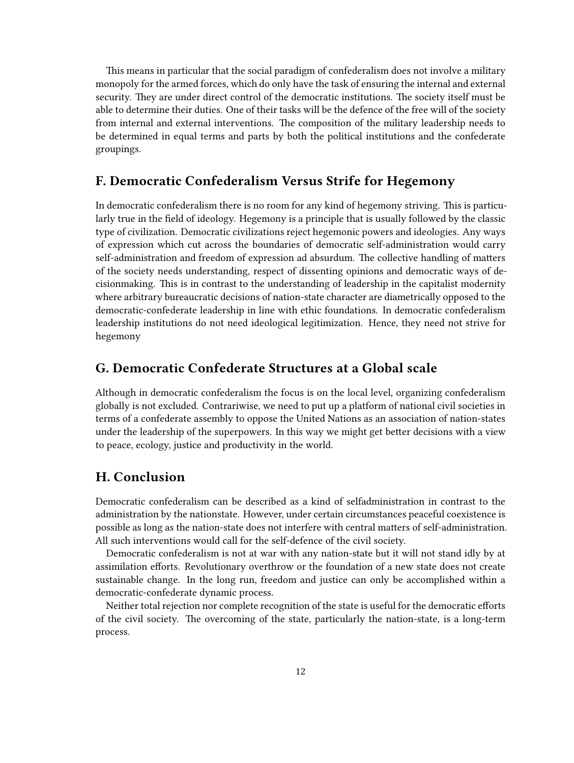This means in particular that the social paradigm of confederalism does not involve a military monopoly for the armed forces, which do only have the task of ensuring the internal and external security. They are under direct control of the democratic institutions. The society itself must be able to determine their duties. One of their tasks will be the defence of the free will of the society from internal and external interventions. The composition of the military leadership needs to be determined in equal terms and parts by both the political institutions and the confederate groupings.

## <span id="page-11-0"></span>**F. Democratic Confederalism Versus Strife for Hegemony**

In democratic confederalism there is no room for any kind of hegemony striving. This is particularly true in the field of ideology. Hegemony is a principle that is usually followed by the classic type of civilization. Democratic civilizations reject hegemonic powers and ideologies. Any ways of expression which cut across the boundaries of democratic self-administration would carry self-administration and freedom of expression ad absurdum. The collective handling of matters of the society needs understanding, respect of dissenting opinions and democratic ways of decisionmaking. This is in contrast to the understanding of leadership in the capitalist modernity where arbitrary bureaucratic decisions of nation-state character are diametrically opposed to the democratic-confederate leadership in line with ethic foundations. In democratic confederalism leadership institutions do not need ideological legitimization. Hence, they need not strive for hegemony

### <span id="page-11-1"></span>**G. Democratic Confederate Structures at a Global scale**

Although in democratic confederalism the focus is on the local level, organizing confederalism globally is not excluded. Contrariwise, we need to put up a platform of national civil societies in terms of a confederate assembly to oppose the United Nations as an association of nation-states under the leadership of the superpowers. In this way we might get better decisions with a view to peace, ecology, justice and productivity in the world.

## <span id="page-11-2"></span>**H. Conclusion**

Democratic confederalism can be described as a kind of selfadministration in contrast to the administration by the nationstate. However, under certain circumstances peaceful coexistence is possible as long as the nation-state does not interfere with central matters of self-administration. All such interventions would call for the self-defence of the civil society.

Democratic confederalism is not at war with any nation-state but it will not stand idly by at assimilation efforts. Revolutionary overthrow or the foundation of a new state does not create sustainable change. In the long run, freedom and justice can only be accomplished within a democratic-confederate dynamic process.

Neither total rejection nor complete recognition of the state is useful for the democratic efforts of the civil society. The overcoming of the state, particularly the nation-state, is a long-term process.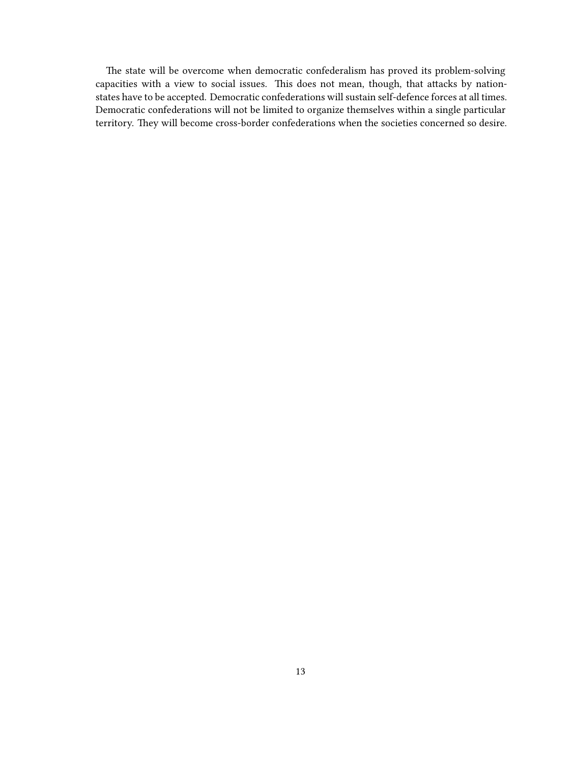The state will be overcome when democratic confederalism has proved its problem-solving capacities with a view to social issues. This does not mean, though, that attacks by nationstates have to be accepted. Democratic confederations will sustain self-defence forces at all times. Democratic confederations will not be limited to organize themselves within a single particular territory. They will become cross-border confederations when the societies concerned so desire.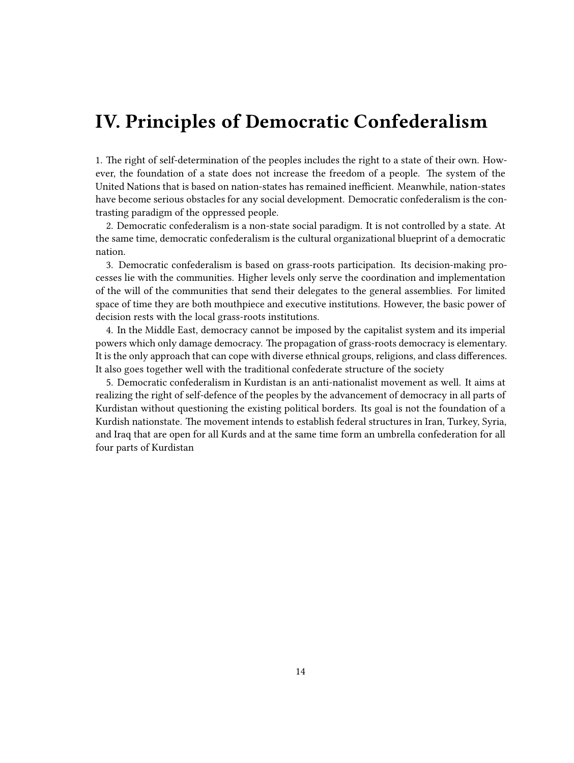## <span id="page-13-0"></span>**IV. Principles of Democratic Confederalism**

1. The right of self-determination of the peoples includes the right to a state of their own. However, the foundation of a state does not increase the freedom of a people. The system of the United Nations that is based on nation-states has remained inefficient. Meanwhile, nation-states have become serious obstacles for any social development. Democratic confederalism is the contrasting paradigm of the oppressed people.

2. Democratic confederalism is a non-state social paradigm. It is not controlled by a state. At the same time, democratic confederalism is the cultural organizational blueprint of a democratic nation.

3. Democratic confederalism is based on grass-roots participation. Its decision-making processes lie with the communities. Higher levels only serve the coordination and implementation of the will of the communities that send their delegates to the general assemblies. For limited space of time they are both mouthpiece and executive institutions. However, the basic power of decision rests with the local grass-roots institutions.

4. In the Middle East, democracy cannot be imposed by the capitalist system and its imperial powers which only damage democracy. The propagation of grass-roots democracy is elementary. It is the only approach that can cope with diverse ethnical groups, religions, and class differences. It also goes together well with the traditional confederate structure of the society

5. Democratic confederalism in Kurdistan is an anti-nationalist movement as well. It aims at realizing the right of self-defence of the peoples by the advancement of democracy in all parts of Kurdistan without questioning the existing political borders. Its goal is not the foundation of a Kurdish nationstate. The movement intends to establish federal structures in Iran, Turkey, Syria, and Iraq that are open for all Kurds and at the same time form an umbrella confederation for all four parts of Kurdistan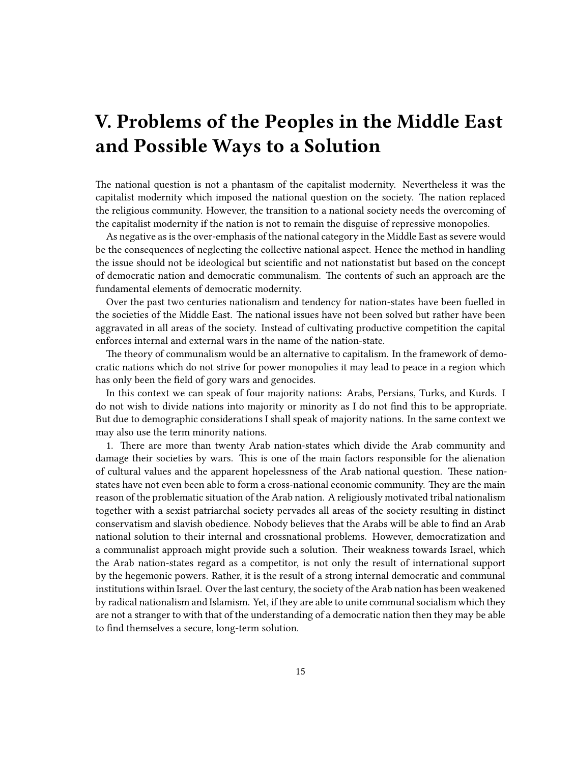# <span id="page-14-0"></span>**V. Problems of the Peoples in the Middle East and Possible Ways to a Solution**

The national question is not a phantasm of the capitalist modernity. Nevertheless it was the capitalist modernity which imposed the national question on the society. The nation replaced the religious community. However, the transition to a national society needs the overcoming of the capitalist modernity if the nation is not to remain the disguise of repressive monopolies.

As negative as is the over-emphasis of the national category in the Middle East as severe would be the consequences of neglecting the collective national aspect. Hence the method in handling the issue should not be ideological but scientific and not nationstatist but based on the concept of democratic nation and democratic communalism. The contents of such an approach are the fundamental elements of democratic modernity.

Over the past two centuries nationalism and tendency for nation-states have been fuelled in the societies of the Middle East. The national issues have not been solved but rather have been aggravated in all areas of the society. Instead of cultivating productive competition the capital enforces internal and external wars in the name of the nation-state.

The theory of communalism would be an alternative to capitalism. In the framework of democratic nations which do not strive for power monopolies it may lead to peace in a region which has only been the field of gory wars and genocides.

In this context we can speak of four majority nations: Arabs, Persians, Turks, and Kurds. I do not wish to divide nations into majority or minority as I do not find this to be appropriate. But due to demographic considerations I shall speak of majority nations. In the same context we may also use the term minority nations.

1. There are more than twenty Arab nation-states which divide the Arab community and damage their societies by wars. This is one of the main factors responsible for the alienation of cultural values and the apparent hopelessness of the Arab national question. These nationstates have not even been able to form a cross-national economic community. They are the main reason of the problematic situation of the Arab nation. A religiously motivated tribal nationalism together with a sexist patriarchal society pervades all areas of the society resulting in distinct conservatism and slavish obedience. Nobody believes that the Arabs will be able to find an Arab national solution to their internal and crossnational problems. However, democratization and a communalist approach might provide such a solution. Their weakness towards Israel, which the Arab nation-states regard as a competitor, is not only the result of international support by the hegemonic powers. Rather, it is the result of a strong internal democratic and communal institutions within Israel. Over the last century, the society of the Arab nation has been weakened by radical nationalism and Islamism. Yet, if they are able to unite communal socialism which they are not a stranger to with that of the understanding of a democratic nation then they may be able to find themselves a secure, long-term solution.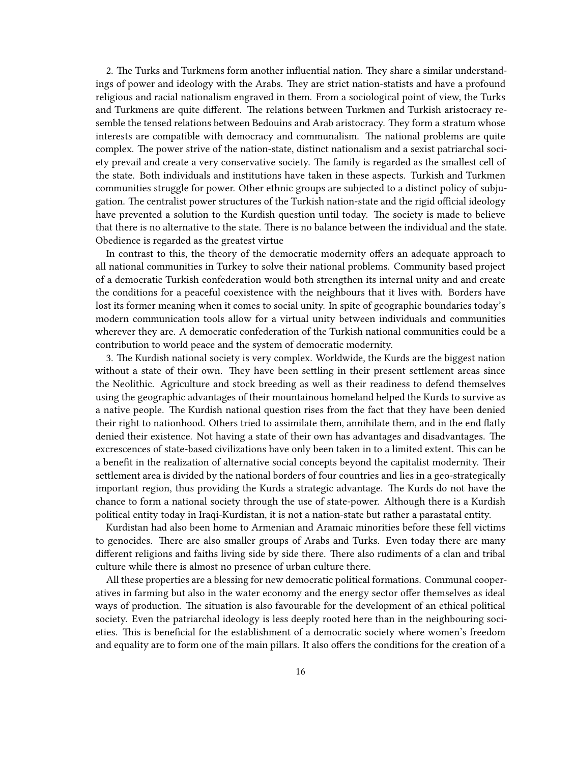2. The Turks and Turkmens form another influential nation. They share a similar understandings of power and ideology with the Arabs. They are strict nation-statists and have a profound religious and racial nationalism engraved in them. From a sociological point of view, the Turks and Turkmens are quite different. The relations between Turkmen and Turkish aristocracy resemble the tensed relations between Bedouins and Arab aristocracy. They form a stratum whose interests are compatible with democracy and communalism. The national problems are quite complex. The power strive of the nation-state, distinct nationalism and a sexist patriarchal society prevail and create a very conservative society. The family is regarded as the smallest cell of the state. Both individuals and institutions have taken in these aspects. Turkish and Turkmen communities struggle for power. Other ethnic groups are subjected to a distinct policy of subjugation. The centralist power structures of the Turkish nation-state and the rigid official ideology have prevented a solution to the Kurdish question until today. The society is made to believe that there is no alternative to the state. There is no balance between the individual and the state. Obedience is regarded as the greatest virtue

In contrast to this, the theory of the democratic modernity offers an adequate approach to all national communities in Turkey to solve their national problems. Community based project of a democratic Turkish confederation would both strengthen its internal unity and and create the conditions for a peaceful coexistence with the neighbours that it lives with. Borders have lost its former meaning when it comes to social unity. In spite of geographic boundaries today's modern communication tools allow for a virtual unity between individuals and communities wherever they are. A democratic confederation of the Turkish national communities could be a contribution to world peace and the system of democratic modernity.

3. The Kurdish national society is very complex. Worldwide, the Kurds are the biggest nation without a state of their own. They have been settling in their present settlement areas since the Neolithic. Agriculture and stock breeding as well as their readiness to defend themselves using the geographic advantages of their mountainous homeland helped the Kurds to survive as a native people. The Kurdish national question rises from the fact that they have been denied their right to nationhood. Others tried to assimilate them, annihilate them, and in the end flatly denied their existence. Not having a state of their own has advantages and disadvantages. The excrescences of state-based civilizations have only been taken in to a limited extent. This can be a benefit in the realization of alternative social concepts beyond the capitalist modernity. Their settlement area is divided by the national borders of four countries and lies in a geo-strategically important region, thus providing the Kurds a strategic advantage. The Kurds do not have the chance to form a national society through the use of state-power. Although there is a Kurdish political entity today in Iraqi-Kurdistan, it is not a nation-state but rather a parastatal entity.

Kurdistan had also been home to Armenian and Aramaic minorities before these fell victims to genocides. There are also smaller groups of Arabs and Turks. Even today there are many different religions and faiths living side by side there. There also rudiments of a clan and tribal culture while there is almost no presence of urban culture there.

All these properties are a blessing for new democratic political formations. Communal cooperatives in farming but also in the water economy and the energy sector offer themselves as ideal ways of production. The situation is also favourable for the development of an ethical political society. Even the patriarchal ideology is less deeply rooted here than in the neighbouring societies. This is beneficial for the establishment of a democratic society where women's freedom and equality are to form one of the main pillars. It also offers the conditions for the creation of a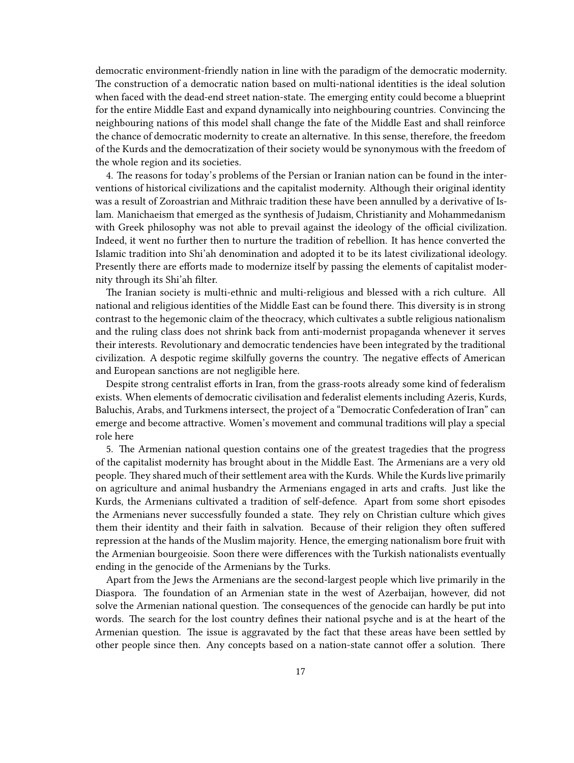democratic environment-friendly nation in line with the paradigm of the democratic modernity. The construction of a democratic nation based on multi-national identities is the ideal solution when faced with the dead-end street nation-state. The emerging entity could become a blueprint for the entire Middle East and expand dynamically into neighbouring countries. Convincing the neighbouring nations of this model shall change the fate of the Middle East and shall reinforce the chance of democratic modernity to create an alternative. In this sense, therefore, the freedom of the Kurds and the democratization of their society would be synonymous with the freedom of the whole region and its societies.

4. The reasons for today's problems of the Persian or Iranian nation can be found in the interventions of historical civilizations and the capitalist modernity. Although their original identity was a result of Zoroastrian and Mithraic tradition these have been annulled by a derivative of Islam. Manichaeism that emerged as the synthesis of Judaism, Christianity and Mohammedanism with Greek philosophy was not able to prevail against the ideology of the official civilization. Indeed, it went no further then to nurture the tradition of rebellion. It has hence converted the Islamic tradition into Shi'ah denomination and adopted it to be its latest civilizational ideology. Presently there are efforts made to modernize itself by passing the elements of capitalist modernity through its Shi'ah filter.

The Iranian society is multi-ethnic and multi-religious and blessed with a rich culture. All national and religious identities of the Middle East can be found there. This diversity is in strong contrast to the hegemonic claim of the theocracy, which cultivates a subtle religious nationalism and the ruling class does not shrink back from anti-modernist propaganda whenever it serves their interests. Revolutionary and democratic tendencies have been integrated by the traditional civilization. A despotic regime skilfully governs the country. The negative effects of American and European sanctions are not negligible here.

Despite strong centralist efforts in Iran, from the grass-roots already some kind of federalism exists. When elements of democratic civilisation and federalist elements including Azeris, Kurds, Baluchis, Arabs, and Turkmens intersect, the project of a "Democratic Confederation of Iran" can emerge and become attractive. Women's movement and communal traditions will play a special role here

5. The Armenian national question contains one of the greatest tragedies that the progress of the capitalist modernity has brought about in the Middle East. The Armenians are a very old people. They shared much of their settlement area with the Kurds. While the Kurds live primarily on agriculture and animal husbandry the Armenians engaged in arts and crafts. Just like the Kurds, the Armenians cultivated a tradition of self-defence. Apart from some short episodes the Armenians never successfully founded a state. They rely on Christian culture which gives them their identity and their faith in salvation. Because of their religion they often suffered repression at the hands of the Muslim majority. Hence, the emerging nationalism bore fruit with the Armenian bourgeoisie. Soon there were differences with the Turkish nationalists eventually ending in the genocide of the Armenians by the Turks.

Apart from the Jews the Armenians are the second-largest people which live primarily in the Diaspora. The foundation of an Armenian state in the west of Azerbaijan, however, did not solve the Armenian national question. The consequences of the genocide can hardly be put into words. The search for the lost country defines their national psyche and is at the heart of the Armenian question. The issue is aggravated by the fact that these areas have been settled by other people since then. Any concepts based on a nation-state cannot offer a solution. There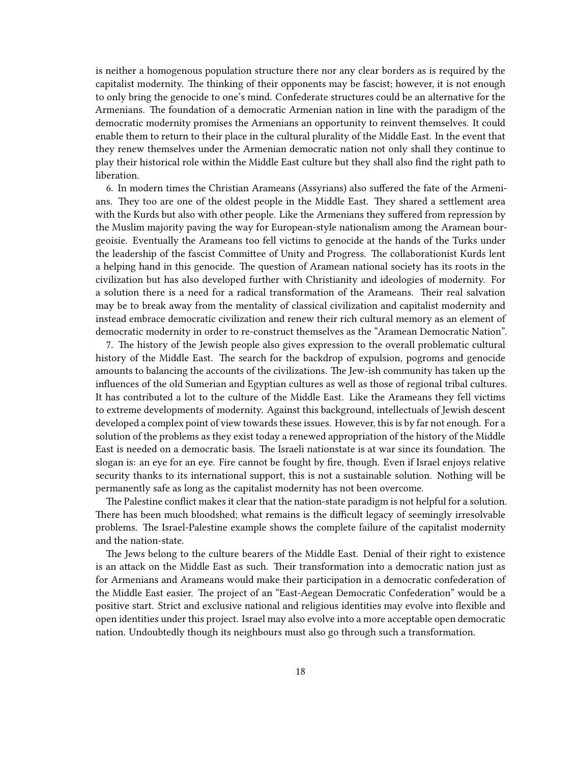is neither a homogenous population structure there nor any clear borders as is required by the capitalist modernity. The thinking of their opponents may be fascist; however, it is not enough to only bring the genocide to one's mind. Confederate structures could be an alternative for the Armenians. The foundation of a democratic Armenian nation in line with the paradigm of the democratic modernity promises the Armenians an opportunity to reinvent themselves. It could enable them to return to their place in the cultural plurality of the Middle East. In the event that they renew themselves under the Armenian democratic nation not only shall they continue to play their historical role within the Middle East culture but they shall also find the right path to liberation.

6. In modern times the Christian Arameans (Assyrians) also suffered the fate of the Armenians. They too are one of the oldest people in the Middle East. They shared a settlement area with the Kurds but also with other people. Like the Armenians they suffered from repression by the Muslim majority paving the way for European-style nationalism among the Aramean bourgeoisie. Eventually the Arameans too fell victims to genocide at the hands of the Turks under the leadership of the fascist Committee of Unity and Progress. The collaborationist Kurds lent a helping hand in this genocide. The question of Aramean national society has its roots in the civilization but has also developed further with Christianity and ideologies of modernity. For a solution there is a need for a radical transformation of the Arameans. Their real salvation may be to break away from the mentality of classical civilization and capitalist modernity and instead embrace democratic civilization and renew their rich cultural memory as an element of democratic modernity in order to re-construct themselves as the "Aramean Democratic Nation".

7. The history of the Jewish people also gives expression to the overall problematic cultural history of the Middle East. The search for the backdrop of expulsion, pogroms and genocide amounts to balancing the accounts of the civilizations. The Jew-ish community has taken up the influences of the old Sumerian and Egyptian cultures as well as those of regional tribal cultures. It has contributed a lot to the culture of the Middle East. Like the Arameans they fell victims to extreme developments of modernity. Against this background, intellectuals of Jewish descent developed a complex point of view towards these issues. However, this is by far not enough. For a solution of the problems as they exist today a renewed appropriation of the history of the Middle East is needed on a democratic basis. The Israeli nationstate is at war since its foundation. The slogan is: an eye for an eye. Fire cannot be fought by fire, though. Even if Israel enjoys relative security thanks to its international support, this is not a sustainable solution. Nothing will be permanently safe as long as the capitalist modernity has not been overcome.

The Palestine conflict makes it clear that the nation-state paradigm is not helpful for a solution. There has been much bloodshed; what remains is the difficult legacy of seemingly irresolvable problems. The Israel-Palestine example shows the complete failure of the capitalist modernity and the nation-state.

The Jews belong to the culture bearers of the Middle East. Denial of their right to existence is an attack on the Middle East as such. Their transformation into a democratic nation just as for Armenians and Arameans would make their participation in a democratic confederation of the Middle East easier. The project of an "East-Aegean Democratic Confederation" would be a positive start. Strict and exclusive national and religious identities may evolve into flexible and open identities under this project. Israel may also evolve into a more acceptable open democratic nation. Undoubtedly though its neighbours must also go through such a transformation.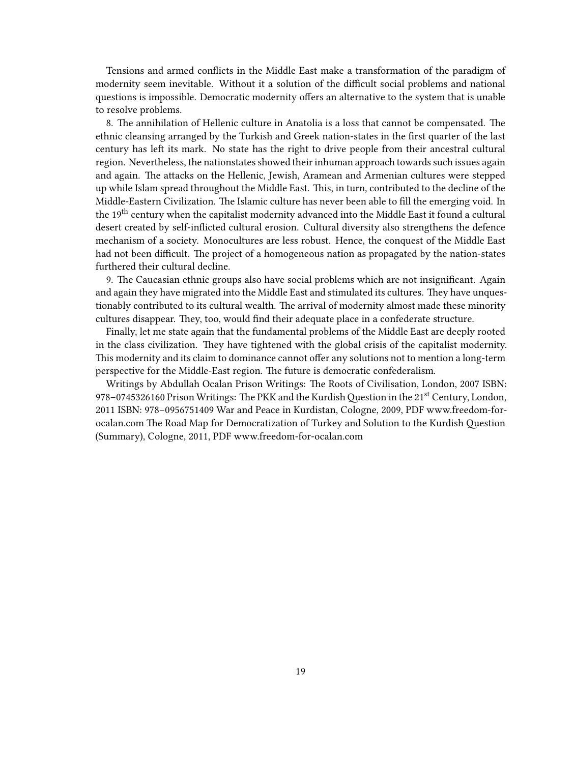Tensions and armed conflicts in the Middle East make a transformation of the paradigm of modernity seem inevitable. Without it a solution of the difficult social problems and national questions is impossible. Democratic modernity offers an alternative to the system that is unable to resolve problems.

8. The annihilation of Hellenic culture in Anatolia is a loss that cannot be compensated. The ethnic cleansing arranged by the Turkish and Greek nation-states in the first quarter of the last century has left its mark. No state has the right to drive people from their ancestral cultural region. Nevertheless, the nationstates showed their inhuman approach towards such issues again and again. The attacks on the Hellenic, Jewish, Aramean and Armenian cultures were stepped up while Islam spread throughout the Middle East. This, in turn, contributed to the decline of the Middle-Eastern Civilization. The Islamic culture has never been able to fill the emerging void. In the 19<sup>th</sup> century when the capitalist modernity advanced into the Middle East it found a cultural desert created by self-inflicted cultural erosion. Cultural diversity also strengthens the defence mechanism of a society. Monocultures are less robust. Hence, the conquest of the Middle East had not been difficult. The project of a homogeneous nation as propagated by the nation-states furthered their cultural decline.

9. The Caucasian ethnic groups also have social problems which are not insignificant. Again and again they have migrated into the Middle East and stimulated its cultures. They have unquestionably contributed to its cultural wealth. The arrival of modernity almost made these minority cultures disappear. They, too, would find their adequate place in a confederate structure.

Finally, let me state again that the fundamental problems of the Middle East are deeply rooted in the class civilization. They have tightened with the global crisis of the capitalist modernity. This modernity and its claim to dominance cannot offer any solutions not to mention a long-term perspective for the Middle-East region. The future is democratic confederalism.

Writings by Abdullah Ocalan Prison Writings: The Roots of Civilisation, London, 2007 ISBN: 978–0745326160 Prison Writings: The PKK and the Kurdish Question in the 21<sup>st</sup> Century, London, 2011 ISBN: 978–0956751409 War and Peace in Kurdistan, Cologne, 2009, PDF [www.freedom-for](http://www.freedom-for-ocalan.com/english/download/OcalanWar-and-Peace-in-Kurdistan.pdf)[ocalan.com](http://www.freedom-for-ocalan.com/english/download/OcalanWar-and-Peace-in-Kurdistan.pdf) The Road Map for Democratization of Turkey and Solution to the Kurdish Question (Summary), Cologne, 2011, PDF [www.freedom-for-ocalan.com](http://www.freedom-for-ocalan.com/english/download/Abdullah_Ocalan_-_The_Road_Map_-_Summary.pdf)